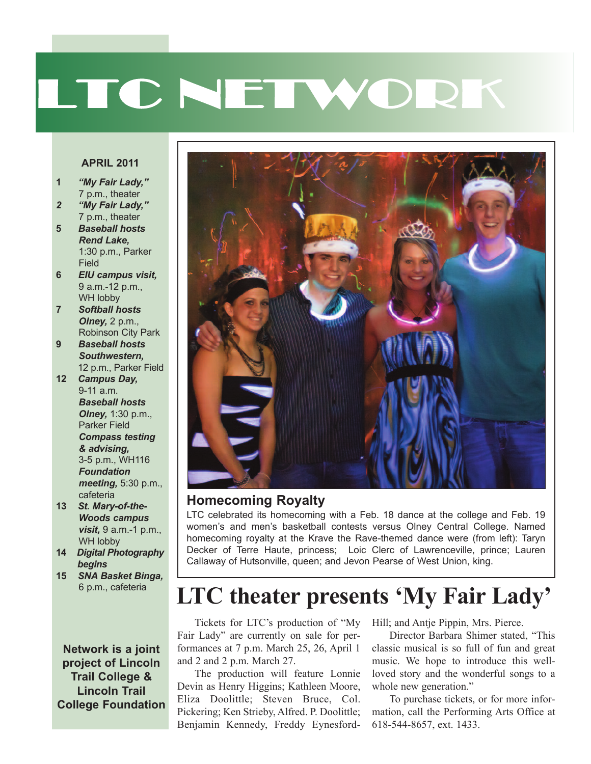# LTC NETWORK

#### **APRIL 2011**

- **1** *"My Fair Lady,"* 7 p.m., theater
- *2 "My Fair Lady,"* 7 p.m., theater
- **5** *Baseball hosts Rend Lake,* 1:30 p.m., Parker Field
- **6** *EIU campus visit,* 9 a.m.-12 p.m., WH lobby
- **7** *Softball hosts Olney,* 2 p.m., Robinson City Park
- **9** *Baseball hosts Southwestern,* 12 p.m., Parker Field
- **12** *Campus Day,* 9-11 a.m. *Baseball hosts Olney,* 1:30 p.m., Parker Field *Compass testing & advising,* 3-5 p.m., WH116 *Foundation meeting,* 5:30 p.m., cafeteria
- **13** *St. Mary-of-the-Woods campus visit,* 9 a.m.-1 p.m., WH lobby
- **14** *Digital Photography begins*
- **15** *SNA Basket Binga,* 6 p.m., cafeteria

**Network is a joint project of Lincoln Trail College & Lincoln Trail College Foundation**



#### **Homecoming Royalty**

LTC celebrated its homecoming with a Feb. 18 dance at the college and Feb. 19 women's and men's basketball contests versus Olney Central College. Named homecoming royalty at the Krave the Rave-themed dance were (from left): Taryn Decker of Terre Haute, princess; Loic Clerc of Lawrenceville, prince; Lauren Callaway of Hutsonville, queen; and Jevon Pearse of West Union, king.

# **LTC theater presents 'My Fair Lady'**

Tickets for LTC's production of "My Hill; and Antje Pippin, Mrs. Pierce. Fair Lady" are currently on sale for performances at 7 p.m. March 25, 26, April 1 and 2 and 2 p.m. March 27.

The production will feature Lonnie Devin as Henry Higgins; Kathleen Moore, Eliza Doolittle; Steven Bruce, Col. Pickering; Ken Strieby, Alfred. P. Doolittle; Benjamin Kennedy, Freddy Eynesford-

Director Barbara Shimer stated, "This classic musical is so full of fun and great music. We hope to introduce this wellloved story and the wonderful songs to a whole new generation."

To purchase tickets, or for more information, call the Performing Arts Office at 618-544-8657, ext. 1433.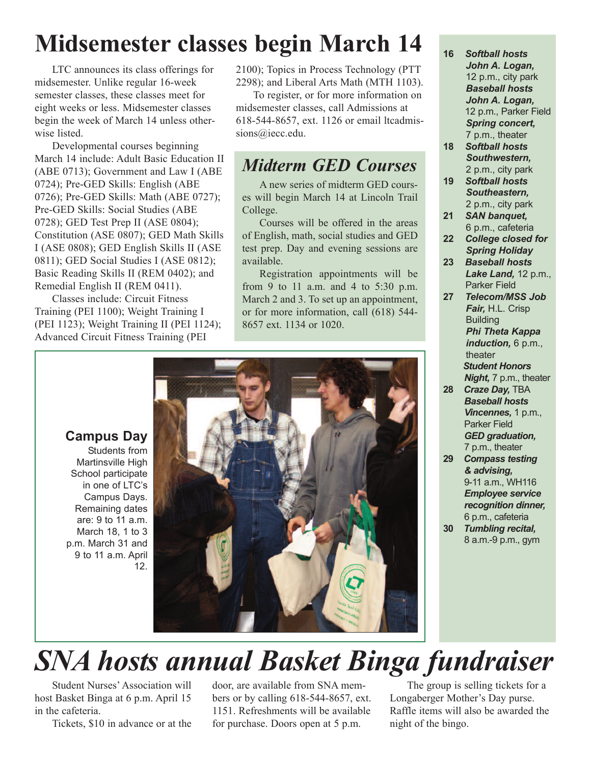# **Midsemester classes begin March 14**

LTC announces its class offerings for midsemester. Unlike regular 16-week semester classes, these classes meet for eight weeks or less. Midsemester classes begin the week of March 14 unless otherwise listed.

Developmental courses beginning March 14 include: Adult Basic Education II (ABE 0713); Government and Law I (ABE 0724); Pre-GED Skills: English (ABE 0726); Pre-GED Skills: Math (ABE 0727); Pre-GED Skills: Social Studies (ABE 0728); GED Test Prep II (ASE 0804); Constitution (ASE 0807); GED Math Skills I (ASE 0808); GED English Skills II (ASE 0811); GED Social Studies I (ASE 0812); Basic Reading Skills II (REM 0402); and Remedial English II (REM 0411).

Classes include: Circuit Fitness Training (PEI 1100); Weight Training I (PEI 1123); Weight Training II (PEI 1124); Advanced Circuit Fitness Training (PEI

2100); Topics in Process Technology (PTT 2298); and Liberal Arts Math (MTH 1103).

To register, or for more information on midsemester classes, call Admissions at 618-544-8657, ext. 1126 or email ltcadmissions@iecc.edu.

#### *Midterm GED Courses*

A new series of midterm GED courses will begin March 14 at Lincoln Trail College.

Courses will be offered in the areas of English, math, social studies and GED test prep. Day and evening sessions are available.

Registration appointments will be from 9 to 11 a.m. and 4 to 5:30 p.m. March 2 and 3. To set up an appointment, or for more information, call (618) 544- 8657 ext. 1134 or 1020.



- **18** *Softball hosts Southwestern,* 2 p.m., city park
- **19** *Softball hosts Southeastern,* 2 p.m., city park
- **21** *SAN banquet,* 6 p.m., cafeteria
- **22** *College closed for Spring Holiday*
- **23** *Baseball hosts Lake Land,* 12 p.m., Parker Field
- **27** *Telecom/MSS Job Fair,* H.L. Crisp **Building** *Phi Theta Kappa induction,* 6 p.m., theater *Student Honors Night,* 7 p.m., theater
- **28** *Craze Day,* TBA *Baseball hosts Vincennes,* 1 p.m., Parker Field *GED graduation,* 7 p.m., theater
- **29** *Compass testing & advising,* 9-11 a.m., WH116 *Employee service recognition dinner,* 6 p.m., cafeteria
- **30** *Tumbling recital,* 8 a.m.-9 p.m., gym

#### **Campus Day**

Students from Martinsville High School participate in one of LTC's Campus Days. Remaining dates are: 9 to 11 a.m. March 18, 1 to 3 p.m. March 31 and 9 to 11 a.m. April 12.



# *SNA hosts annual Basket Binga fundraiser*

Student Nurses' Association will host Basket Binga at 6 p.m. April 15 in the cafeteria.

Tickets, \$10 in advance or at the

door, are available from SNA members or by calling 618-544-8657, ext. 1151. Refreshments will be available for purchase. Doors open at 5 p.m.

The group is selling tickets for a Longaberger Mother's Day purse. Raffle items will also be awarded the night of the bingo.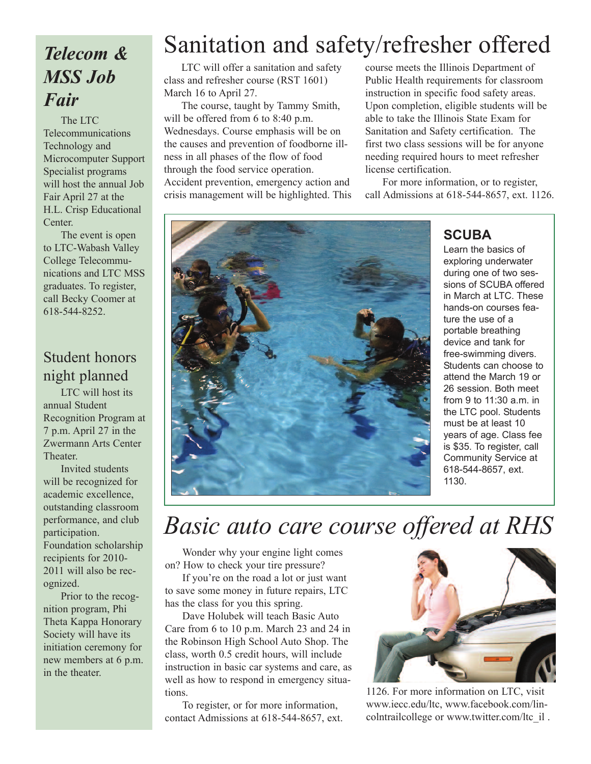### *Telecom & MSS Job Fair*

The LTC Telecommunications Technology and Microcomputer Support Specialist programs will host the annual Job Fair April 27 at the H.L. Crisp Educational **Center** 

The event is open to LTC-Wabash Valley College Telecommunications and LTC MSS graduates. To register, call Becky Coomer at 618-544-8252.

#### Student honors night planned

LTC will host its annual Student Recognition Program at 7 p.m. April 27 in the Zwermann Arts Center Theater.

Invited students will be recognized for academic excellence, outstanding classroom performance, and club participation. Foundation scholarship recipients for 2010- 2011 will also be recognized.

Prior to the recognition program, Phi Theta Kappa Honorary Society will have its initiation ceremony for new members at 6 p.m. in the theater.

# Sanitation and safety/refresher offered

LTC will offer a sanitation and safety class and refresher course (RST 1601) March 16 to April 27.

The course, taught by Tammy Smith, will be offered from 6 to 8:40 p.m. Wednesdays. Course emphasis will be on the causes and prevention of foodborne illness in all phases of the flow of food through the food service operation. Accident prevention, emergency action and crisis management will be highlighted. This course meets the Illinois Department of Public Health requirements for classroom instruction in specific food safety areas. Upon completion, eligible students will be able to take the Illinois State Exam for Sanitation and Safety certification. The first two class sessions will be for anyone needing required hours to meet refresher license certification.

For more information, or to register, call Admissions at 618-544-8657, ext. 1126.



#### **SCUBA**

Learn the basics of exploring underwater during one of two sessions of SCUBA offered in March at LTC. These hands-on courses feature the use of a portable breathing device and tank for free-swimming divers. Students can choose to attend the March 19 or 26 session. Both meet from 9 to 11:30 a.m. in the LTC pool. Students must be at least 10 years of age. Class fee is \$35. To register, call Community Service at 618-544-8657, ext. 1130.

## *Basic auto care course offered at RHS*

Wonder why your engine light comes on? How to check your tire pressure?

If you're on the road a lot or just want to save some money in future repairs, LTC has the class for you this spring.

Dave Holubek will teach Basic Auto Care from 6 to 10 p.m. March 23 and 24 in the Robinson High School Auto Shop. The class, worth 0.5 credit hours, will include instruction in basic car systems and care, as well as how to respond in emergency situations.

To register, or for more information, contact Admissions at 618-544-8657, ext.



1126. For more information on LTC, visit www.iecc.edu/ltc, www.facebook.com/lincolntrailcollege or www.twitter.com/ltc\_il .